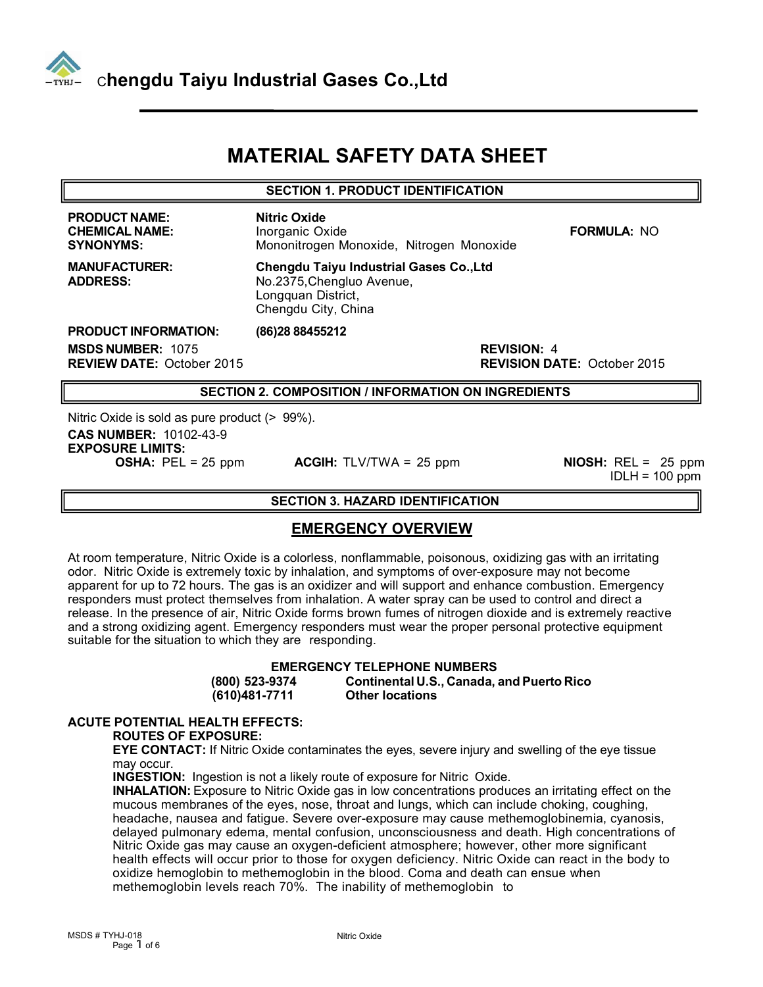

# **MATERIAL SAFETY DATA SHEET**

#### **SECTION 1. PRODUCT IDENTIFICATION**

**PRODUCT NAME:**<br> **CHEMICAL NAME: Name: Name: Name: Name: Name: Name: Name: Name: Name: Name: Name: Name: Name: Name: Name: Name: Name: Name: Name: Name: Name:** 

**CHEMICAL NAME:** Inorganic Oxide **FORMULA:** NO **SYNONYMS:** Mononitrogen Monoxide, Nitrogen Monoxide

**MANUFACTURER: Chengdu Taiyu Industrial Gases Co.,Ltd ADDRESS:** No.2375,Chengluo Avenue, Longquan District, Chengdu City, China

**PRODUCT INFORMATION: (86)28 88455212 MSDS NUMBER:** 1075 **REVISION:** 4

**REVISION DATE: October 2015** 

#### **SECTION 2. COMPOSITION / INFORMATION ON INGREDIENTS**

Nitric Oxide is sold as pure product (> 99%). **CAS NUMBER:** 10102-43-9 **EXPOSURE LIMITS:**<br>**OSHA:** PEL = 25 ppm

**ACGIH:** TLV/TWA = 25 ppm **NIOSH:** REL = 25 ppm

 $IDLH = 100$  ppm

#### **SECTION 3. HAZARD IDENTIFICATION**

## **EMERGENCY OVERVIEW**

At room temperature, Nitric Oxide isa colorless, nonflammable, poisonous, oxidizing gas with an irritating odor. Nitric Oxide isextremely toxic by inhalation, and symptoms of over-exposure may not become apparent for up to 72 hours. The gas is an oxidizer and will support and enhance combustion. Emergency responders must protect themselves from inhalation. A water spray can be used to control and direct a release. In the presence of air, Nitric Oxide forms brown fumes of nitrogen dioxide and is extremely reactive and a strong oxidizing agent. Emergency responders must wear the proper personal protective equipment suitable for the situation to which they are responding.

**EMERGENCY TELEPHONE NUMBERS (800) 523-9374 Continental U.S., Canada, and Puerto Rico (610)481-7711 Other locations**

# **ACUTE POTENTIAL HEALTH EFFECTS:**

**ROUTES OF EXPOSURE:**

**EYE CONTACT:** If Nitric Oxide contaminates the eyes, severe injury and swelling of the eye tissue may occur.

**INGESTION:** Ingestion is not a likely route of exposure for Nitric Oxide.

**INHALATION:** Exposure to Nitric Oxide gas in low concentrations produces an irritating effect on the mucous membranes of the eyes, nose, throat and lungs, which can include choking, coughing, headache, nausea and fatigue. Severe over-exposure may cause methemoglobinemia, cyanosis, delayed pulmonary edema, mental confusion, unconsciousness and death. High concentrations of Nitric Oxide gas may cause an oxygen-deficient atmosphere; however, other more significant health effects will occur prior to those for oxygen deficiency. Nitric Oxide can react in the body to oxidize hemoglobin to methemoglobin in the blood. Coma and death can ensue when methemoglobin levels reach 70%. The inability of methemoglobin to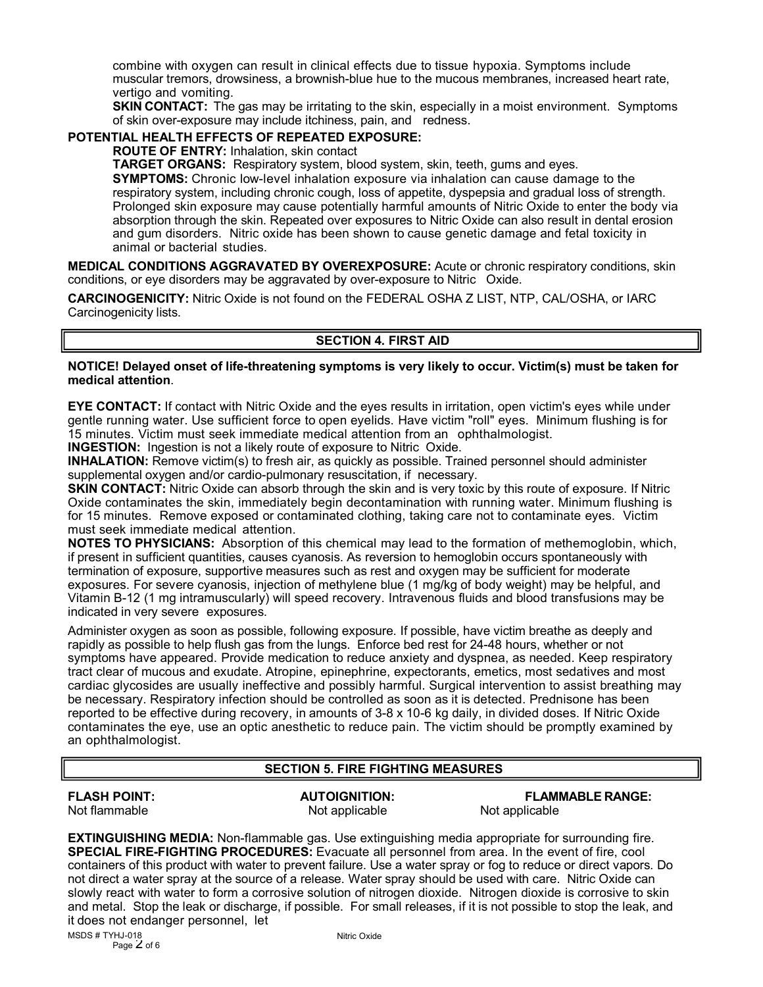combine with oxygen can result in clinical effects due to tissue hypoxia. Symptoms include muscular tremors, drowsiness, a brownish-blue hue to the mucous membranes, increased heart rate, vertigo and vomiting.

**SKIN CONTACT:** The gas may be irritating to the skin, especially in a moist environment. Symptoms of skin over-exposure may include itchiness, pain, and redness.

#### **POTENTIAL HEALTH EFFECTS OF REPEATED EXPOSURE:**

**ROUTE OF ENTRY:** Inhalation, skin contact

**TARGET ORGANS:** Respiratory system, blood system, skin, teeth, gums and eyes. **SYMPTOMS:** Chronic low-level inhalation exposure via inhalation can cause damage to the respiratory system, including chronic cough, loss of appetite, dyspepsia and gradual loss of strength. Prolonged skin exposure may cause potentially harmful amounts of Nitric Oxide to enter the body via absorption through the skin. Repeated over exposures to Nitric Oxide can also result in dental erosion and gum disorders. Nitric oxide has been shown to cause genetic damage and fetal toxicity in animal or bacterial studies.

**MEDICAL CONDITIONS AGGRAVATED BY OVEREXPOSURE:** Acute or chronic respiratory conditions, skin conditions, or eye disorders may be aggravated by over-exposure to Nitric Oxide.

**CARCINOGENICITY:** Nitric Oxide is not found on the FEDERAL OSHA Z LIST, NTP, CAL/OSHA, or IARC Carcinogenicity lists.

#### **SECTION 4. FIRST AID**

#### **NOTICE! Delayed onset of life-threatening symptoms is very likely to occur. Victim(s) must be taken for medical attention**. **MEASURES**

**EYE CONTACT:** If contact with Nitric Oxide and the eyes results in irritation, open victim's eyes while under gentle running water. Use sufficient force to open eyelids. Have victim "roll" eyes. Minimum flushing isfor 15 minutes. Victim must seek immediate medical attention from an ophthalmologist.

**INGESTION:** Ingestion is not a likely route of exposure to Nitric Oxide.

**INHALATION:** Remove victim(s) to fresh air, as quickly as possible. Trained personnel should administer supplemental oxygen and/or cardio-pulmonary resuscitation, if necessary.

**SKIN CONTACT:** Nitric Oxide can absorb through the skin and is very toxic by this route of exposure. If Nitric Oxide contaminates the skin, immediately begin decontamination with running water. Minimum flushing is for 15 minutes. Remove exposed or contaminated clothing, taking care not to contaminate eyes. Victim must seek immediate medical attention.

**NOTES TO PHYSICIANS:** Absorption of this chemical may lead to the formation of methemoglobin, which, if present in sufficient quantities, causes cyanosis. As reversion to hemoglobin occurs spontaneously with termination of exposure, supportive measures such as rest and oxygen may be sufficient for moderate exposures. For severe cyanosis, injection of methylene blue (1 mg/kg of body weight) may be helpful, and Vitamin B-12 (1 mg intramuscularly) will speed recovery. Intravenous fluids and blood transfusions may be indicated in very severe exposures.

Administer oxygen as soon as possible, following exposure. If possible, have victim breathe as deeply and rapidly as possible to help flush gas from the lungs. Enforce bed rest for 24-48 hours, whether or not symptoms have appeared. Provide medication to reduce anxiety and dyspnea, as needed. Keep respiratory tract clear of mucous and exudate. Atropine, epinephrine, expectorants, emetics, most sedatives and most cardiac glycosides are usually ineffective and possibly harmful. Surgical intervention to assist breathing may be necessary. Respiratory infection should be controlled as soon as it is detected. Prednisone has been reported to be effective during recovery, in amounts of 3-8 x 10-6 kg daily, in divided doses. If Nitric Oxide contaminates the eye, use an optic anesthetic to reduce pain. The victim should be promptly examined by an ophthalmologist.

## **SECTION 5. FIRE FIGHTING MEASURES**

Not applicable

**FLASH POINT: AUTOIGNITION: FLAMMABLE RANGE:**

**EXTINGUISHING MEDIA:** Non-flammable gas. Use extinguishing media appropriate for surrounding fire. **SPECIAL FIRE-FIGHTING PROCEDURES:** Evacuate all personnel from area. In the event of fire, cool containers of this product with water to prevent failure. Use a water spray or fog to reduce or direct vapors. Do not direct a water spray at the source of a release. Water spray should be used with care. Nitric Oxide can slowly react with water to form a corrosive solution of nitrogen dioxide. Nitrogen dioxide is corrosive to skin and metal. Stop the leak or discharge, if possible. For small releases, if it is not possible to stop the leak, and it does not endanger personnel, let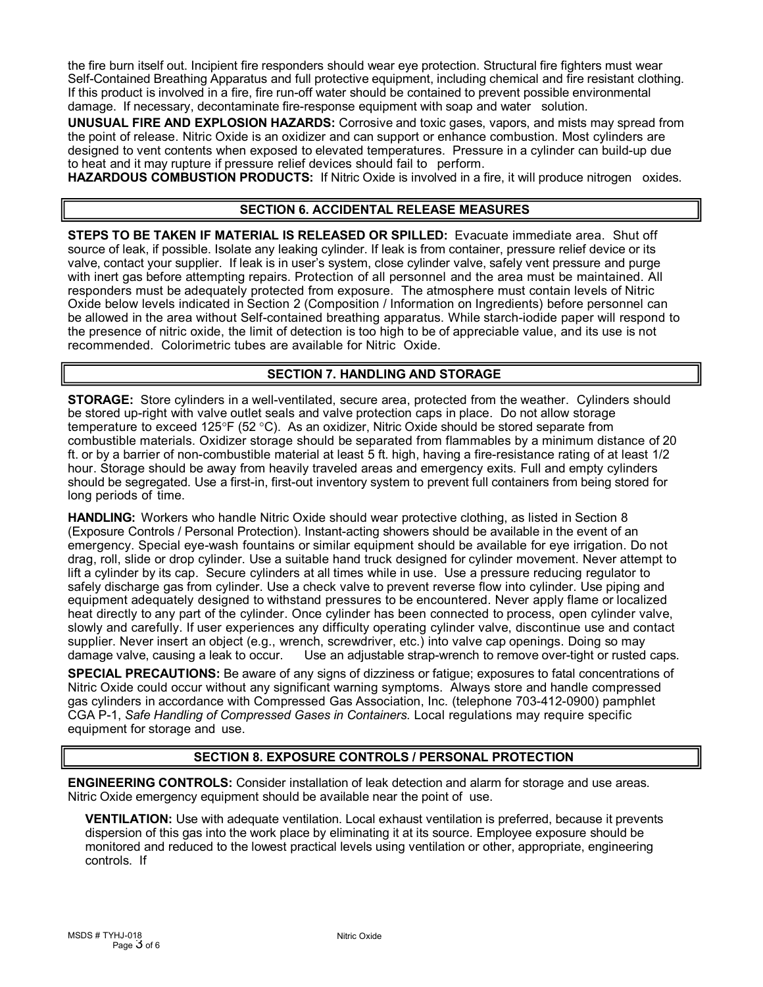the fire burn itself out. Incipient fire responders should wear eye protection. Structural fire fighters must wear Self-Contained Breathing Apparatus and full protective equipment, including chemical and fire resistant clothing. If this product is involved in a fire, fire run-off water should be contained to prevent possible environmental damage. If necessary, decontaminate fire-response equipment with soap and water solution.

**UNUSUAL FIRE AND EXPLOSION HAZARDS:** Corrosive and toxic gases, vapors, and mists may spread from the point of release. Nitric Oxide is an oxidizer and can support or enhance combustion. Most cylinders are designed to vent contents when exposed to elevated temperatures. Pressure in a cylinder can build-up due to heat and it may rupture if pressure relief devices should fail to perform.

**HAZARDOUS COMBUSTION PRODUCTS:** If Nitric Oxide is involved in a fire, it will produce nitrogen oxides.

# **SECTION 6. ACCIDENTAL RELEASE MEASURES**

**STEPS TO BE TAKEN IF MATERIAL IS RELEASED OR SPILLED:** Evacuate immediate area. Shutoff source of leak, if possible. Isolate any leaking cylinder. If leak is from container, pressure relief device or its valve, contact your supplier. If leak is in user's system, close cylinder valve, safely vent pressure and purge with inert gas before attempting repairs. Protection of all personnel and the area must be maintained. All responders must be adequately protected from exposure. The atmosphere must contain levels of Nitric Oxide below levels indicated in Section 2 (Composition / Information on Ingredients) before personnel can be allowed in the area without Self-contained breathing apparatus. While starch-iodide paper will respond to the presence of nitric oxide, the limit of detection is too high to be of appreciable value, and its use is not recommended. Colorimetric tubes are available for Nitric Oxide.

# **SECTION 7. HANDLING AND STORAGE**

**STORAGE:** Store cylinders in a well-ventilated, secure area, protected from the weather. Cylinders should be stored up-right with valve outlet seals and valve protection caps in place. Do not allow storage temperature to exceed 125°F (52 °C). As an oxidizer, Nitric Oxide should be stored separate from combustible materials. Oxidizer storage should be separated from flammables by a minimum distance of 20 ft. or by a barrier of non-combustible material at least 5 ft. high, having a fire-resistance rating of at least 1/2 hour. Storage should be away from heavily traveled areas and emergency exits. Full and empty cylinders should be segregated. Use a first-in, first-out inventory system to prevent full containers from being stored for long periods of time.

**HANDLING:** Workers who handle Nitric Oxide should wear protective clothing, as listed in Section 8 (Exposure Controls / Personal Protection). Instant-acting showers should be available in the event of an emergency. Special eye-wash fountains or similar equipment should be available for eye irrigation. Do not drag, roll, slide or drop cylinder. Use a suitable hand truck designed for cylinder movement. Never attempt to lift a cylinder by its cap. Secure cylinders at all times while in use. Use a pressure reducing regulatorto safely discharge gas from cylinder. Use a check valve to prevent reverse flow into cylinder. Use piping and equipment adequately designed to withstand pressures to be encountered. Never apply flame or localized heat directly to any part of the cylinder. Once cylinder has been connected to process, open cylinder valve, slowly and carefully. If user experiences any difficulty operating cylinder valve, discontinue use and contact supplier. Never insert an object (e.g., wrench, screwdriver, etc.) into valve cap openings. Doing so may damage valve, causing a leak to occur. Use an adjustable strap-wrench to remove over-tight or rusted Use an adjustable strap-wrench to remove over-tight or rusted caps.

**SPECIAL PRECAUTIONS:** Be aware of any signs of dizziness or fatigue; exposures to fatal concentrations of Nitric Oxide could occur without any significant warning symptoms. Always store and handle compressed gas cylinders in accordance with Compressed Gas Association, Inc. (telephone 703-412-0900) pamphlet CGA P-1, *Safe Handling of Compressed Gases in Containers.* Local regulations may require specific equipment for storage and use.

# **SECTION 8. EXPOSURE CONTROLS / PERSONAL PROTECTION**

**ENGINEERING CONTROLS:** Consider installation of leak detection and alarm for storage and use areas. Nitric Oxide emergency equipment should be available near the point of use.

**VENTILATION:** Use with adequate ventilation. Local exhaust ventilation is preferred, because it prevents dispersion of this gas into the work place by eliminating it at its source. Employee exposure should be monitored and reduced to the lowest practical levels using ventilation or other, appropriate, engineering controls. If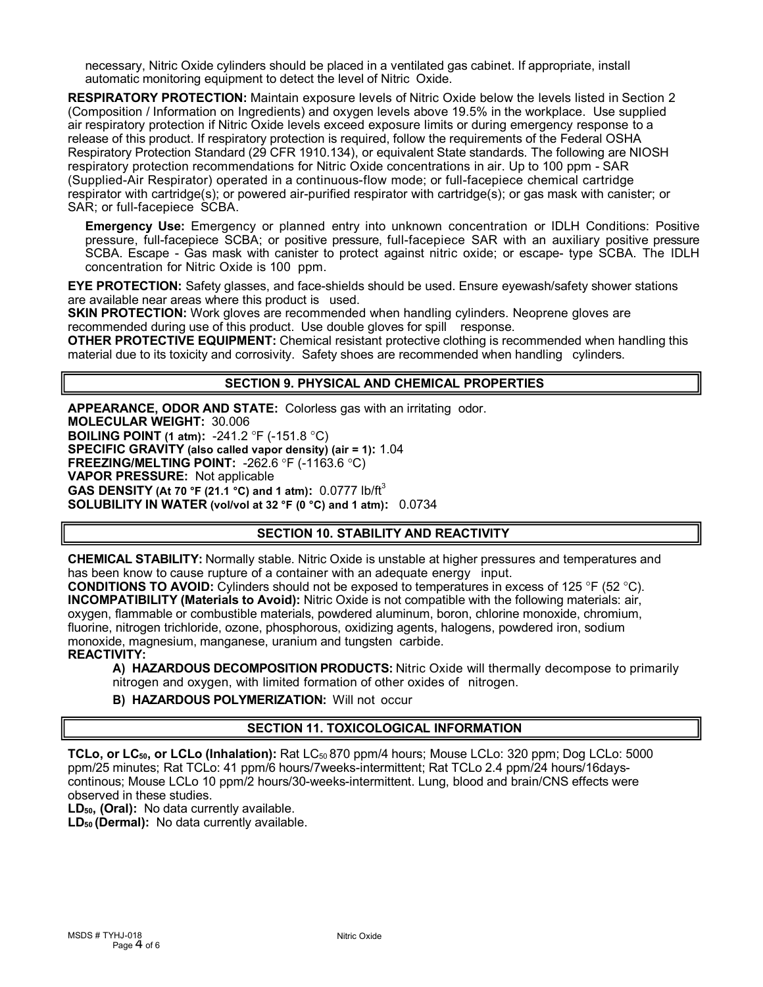necessary, Nitric Oxide cylinders should be placed in a ventilated gas cabinet. If appropriate, install automatic monitoring equipment to detect the level of Nitric Oxide.

**RESPIRATORY PROTECTION:** Maintain exposure levels of Nitric Oxide below the levels listed in Section 2 (Composition / Information on Ingredients) and oxygen levels above 19.5% in the workplace. Use supplied air respiratory protection if Nitric Oxide levels exceed exposure limits or during emergency response to a release of this product. If respiratory protection is required, follow the requirements of the Federal OSHA Respiratory Protection Standard (29 CFR 1910.134), or equivalent State standards. The following are NIOSH respiratory protection recommendations for Nitric Oxide concentrations in air. Up to 100 ppm - SAR (Supplied-Air Respirator) operated in a continuous-flow mode; or full-facepiece chemical cartridge respirator with cartridge(s); or powered air-purified respirator with cartridge(s); or gas mask with canister; or SAR; or full-facepiece SCBA.

**Emergency Use:** Emergency or planned entry into unknown concentration or IDLH Conditions: Positive pressure, full-facepiece SCBA; or positive pressure, full-facepiece SAR with an auxiliary positive pressure SCBA. Escape - Gas mask with canister to protect against nitric oxide; or escape- type SCBA. The IDLH concentration for Nitric Oxide is100 ppm.

**EYE PROTECTION:** Safety glasses, and face-shields should be used. Ensure eyewash/safety shower stations are available near areas where this product is used.

**SKIN PROTECTION:** Work gloves are recommended when handling cylinders. Neoprene gloves are recommended during use of this product. Use double gloves for spill response.

**OTHER PROTECTIVE EQUIPMENT:** Chemical resistant protective clothing is recommended when handling this material due to its toxicity and corrosivity. Safety shoes are recommended when handling cylinders.

#### **SECTION 9. PHYSICAL AND CHEMICAL PROPERTIES**

**APPEARANCE, ODOR AND STATE:** Colorless gas with an irritating odor. **MOLECULAR WEIGHT:** 30.006 **BOILING POINT** (1 **atm):** -241.2 °F (-151.8 °C) **SPECIFIC GRAVITY (also called vapor density) (air = 1):** 1.04 **FREEZING/MELTING POINT: -262.6 °F (-1163.6 °C) VAPOR PRESSURE:** Not applicable **GAS DENSITY (At 70 °F (21.1 °C) and 1 atm):** 0.0777 lb/ft<sup>3</sup> **SOLUBILITY IN WATER (vol/vol at 32 °F (0 °C) and 1 atm):** 0.0734

## **SECTION 10. STABILITY AND REACTIVITY**

**CHEMICAL STABILITY:** Normally stable. Nitric Oxide is unstable at higher pressures and temperatures and has been know to cause rupture of a container with an adequate energy input.

**CONDITIONS TO AVOID:** Cylinders should not be exposed to temperatures in excess of 125 °F (52 °C). **INCOMPATIBILITY** (Materials to Avoid): Nitric Oxide is not compatible with the following materials: air, oxygen, flammable or combustible materials, powdered aluminum, boron, chlorine monoxide, chromium, fluorine, nitrogen trichloride, ozone, phosphorous, oxidizing agents, halogens, powdered iron, sodium monoxide, magnesium, manganese, uranium and tungsten carbide. **REACTIVITY:**

**A) HAZARDOUS DECOMPOSITION PRODUCTS:** Nitric Oxide will thermally decompose to primarily nitrogen and oxygen, with limited formation of other oxides of nitrogen.

#### **B) HAZARDOUS POLYMERIZATION:** Willnot occur

#### **SECTION 11. TOXICOLOGICAL INFORMATION**

**TCLo, or LC50, or LCLo (Inhalation):** Rat LC<sup>50</sup> 870 ppm/4 hours; Mouse LCLo: 320 ppm; Dog LCLo: 5000 ppm/25 minutes; Rat TCLo: 41 ppm/6 hours/7weeks-intermittent; Rat TCLo 2.4 ppm/24 hours/16days continous; Mouse LCLo 10 ppm/2 hours/30-weeks-intermittent. Lung, blood and brain/CNS effects were observed in these studies.

**LD50, (Oral):** No data currently available.

**LD<sup>50</sup> (Dermal):** No data currently available.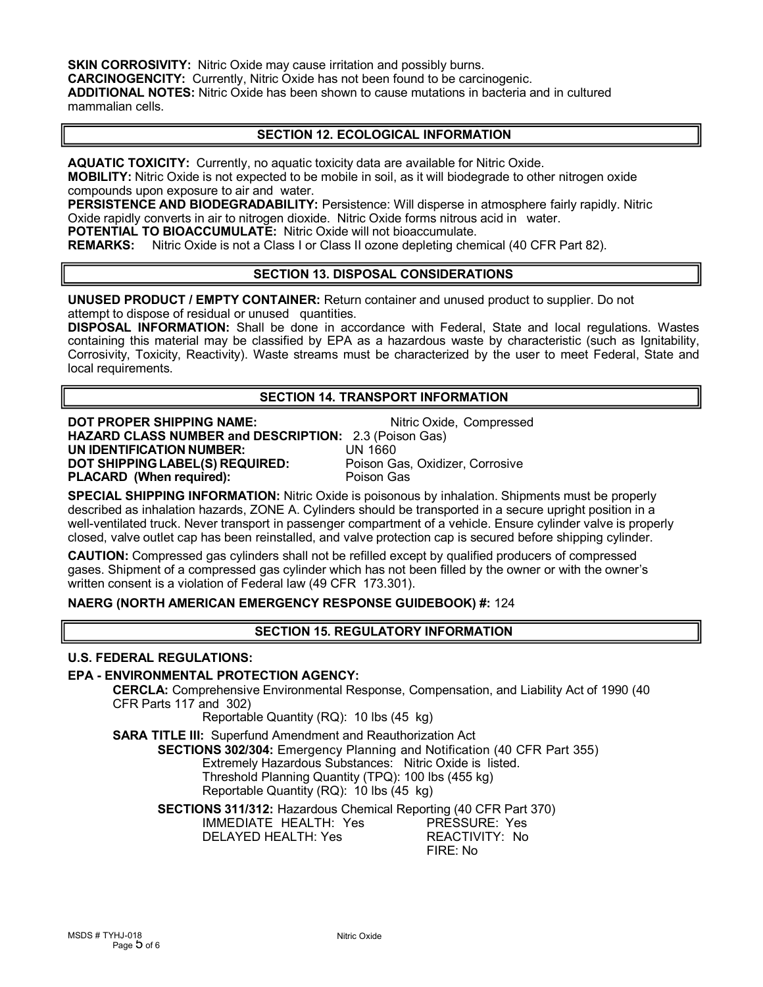**SKIN CORROSIVITY:** Nitric Oxide may cause irritation and possibly burns.

**CARCINOGENCITY:** Currently, Nitric Oxide has not been found to be carcinogenic.

**ADDITIONAL NOTES:** Nitric Oxide has been shown to cause mutations in bacteria and in cultured mammalian cells.

#### **SECTION 12. ECOLOGICAL INFORMATION**

**AQUATIC TOXICITY:** Currently, no aquatic toxicity data are available for Nitric Oxide.

**MOBILITY:** Nitric Oxide is not expected to be mobile in soil, as it will biodegrade to other nitrogen oxide compounds upon exposure to air and water.

**PERSISTENCE AND BIODEGRADABILITY:** Persistence: Will disperse in atmosphere fairly rapidly. Nitric Oxide rapidly converts in air to nitrogen dioxide. Nitric Oxide forms nitrous acid in water.

**POTENTIAL TO BIOACCUMULATE:** Nitric Oxide will not bioaccumulate.

**REMARKS:** Nitric Oxide is not a Class I or Class II ozone depleting chemical (40 CFR Part 82).

## **SECTION 13. DISPOSAL CONSIDERATIONS**

**UNUSED PRODUCT / EMPTY CONTAINER:** Return container and unused product to supplier. Do not attempt to dispose of residual or unused quantities.

**DISPOSAL INFORMATION:** Shall be done in accordance with Federal, State and local regulations. Wastes containing this material may be classified by EPA as a hazardous waste by characteristic (such as Ignitability, Corrosivity, Toxicity, Reactivity). Waste streams must be characterized by the user to meet Federal, State and local requirements.

#### **SECTION 14. TRANSPORT INFORMATION**

**DOT PROPER SHIPPING NAME:** Nitric Oxide, Compressed **HAZARD CLASS NUMBER and DESCRIPTION:** 2.3 (Poison Gas) **UN IDENTIFICATION NUMBER:** UN 1660 **DOT SHIPPING LABEL(S) REQUIRED:** Poison Gas, Poison Gas, Poison Gas, Poison Gas, Corrosive<br>PL**ACARD (When required):** Poison Gas **PLACARD** (When required):

**SPECIAL SHIPPING INFORMATION:** Nitric Oxide is poisonous by inhalation. Shipments must be properly described as inhalation hazards, ZONE A. Cylinders should be transported in a secure upright position in a well-ventilated truck. Never transport in passenger compartment of a vehicle. Ensure cylinder valve is properly closed, valve outlet cap has been reinstalled, and valve protection cap issecured before shipping cylinder.

**CAUTION:** Compressed gas cylinders shall not be refilled except by qualified producers of compressed gases. Shipment of a compressed gas cylinder which has not been filled by the owner or with the owner's written consent is a violation of Federal law (49 CFR 173.301).

# **NAERG (NORTH AMERICAN EMERGENCY RESPONSE GUIDEBOOK) #:** 124

## **SECTION 15. REGULATORY INFORMATION**

#### **U.S. FEDERAL REGULATIONS:**

#### **EPA - ENVIRONMENTAL PROTECTION AGENCY:**

**CERCLA:** Comprehensive Environmental Response, Compensation, and Liability Act of 1990 (40 CFR Parts 117 and 302)

Reportable Quantity (RQ): 10 lbs (45 kg)

**SARA TITLE III:** Superfund Amendment and Reauthorization Act

**SECTIONS 302/304:** Emergency Planning and Notification (40 CFR Part 355)

Extremely Hazardous Substances: Nitric Oxide is listed. Threshold Planning Quantity (TPQ): 100 lbs (455 kg)

Reportable Quantity (RQ): 10 lbs (45 kg)

**SECTIONS 311/312:** Hazardous Chemical Reporting (40 CFR Part 370) IMMEDIATE HEALTH: Yes PRESSURE: Yes DELAYED HEALTH: Yes FIRE: No